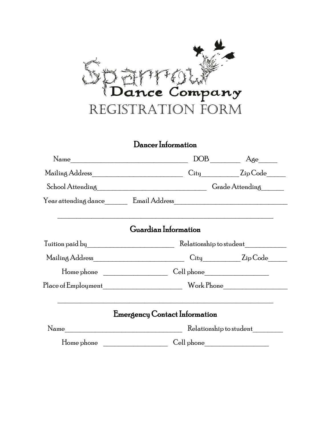

### Dancer Information

|                                                |                                                                                                                                               | $DOB$ $\overline{\phantom{a}}$ $Age$             |  |
|------------------------------------------------|-----------------------------------------------------------------------------------------------------------------------------------------------|--------------------------------------------------|--|
| Mailing Address_______________________________ |                                                                                                                                               | City________________ZipCode_______               |  |
|                                                |                                                                                                                                               |                                                  |  |
|                                                |                                                                                                                                               |                                                  |  |
|                                                | <u> 1989 - Johann Stoff, deutscher Stoff, der Stoff, der Stoff, der Stoff, der Stoff, der Stoff, der Stoff, der S</u><br>Guardian Information |                                                  |  |
|                                                | Relationship to student                                                                                                                       |                                                  |  |
| Mailing Address______________________________  |                                                                                                                                               | $\mathrm{City}$ $\qquad \qquad \mathrm{ZipCode}$ |  |
|                                                |                                                                                                                                               |                                                  |  |
|                                                |                                                                                                                                               |                                                  |  |
|                                                | Emergency Contact Information                                                                                                                 |                                                  |  |
|                                                | Relationship to student                                                                                                                       |                                                  |  |
|                                                |                                                                                                                                               |                                                  |  |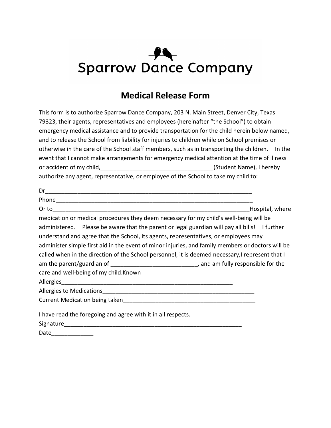## $\overline{\mathbf{A}}$ **Sparrow Dance Company**

### **Medical Release Form**

This form is to authorize Sparrow Dance Company, 203 N. Main Street, Denver City, Texas 79323, their agents, representatives and employees (hereinafter "the School") to obtain emergency medical assistance and to provide transportation for the child herein below named, and to release the School from liability for injuries to children while on School premises or otherwise in the care of the School staff members, such as in transporting the children. In the event that I cannot make arrangements for emergency medical attention at the time of illness or accident of my child, the child of the control of the child of the child of the child of the child of the chi authorize any agent, representative, or employee of the School to take my child to:

|                                                                                                                                                                                                                                                                                           | Hospital, where |
|-------------------------------------------------------------------------------------------------------------------------------------------------------------------------------------------------------------------------------------------------------------------------------------------|-----------------|
| medication or medical procedures they deem necessary for my child's well-being will be                                                                                                                                                                                                    |                 |
| administered. Please be aware that the parent or legal guardian will pay all bills! I further<br>understand and agree that the School, its agents, representatives, or employees may<br>administer simple first aid in the event of minor injuries, and family members or doctors will be |                 |
| called when in the direction of the School personnel, it is deemed necessary, represent that I                                                                                                                                                                                            |                 |
|                                                                                                                                                                                                                                                                                           |                 |
| care and well-being of my child. Known                                                                                                                                                                                                                                                    |                 |
|                                                                                                                                                                                                                                                                                           |                 |
|                                                                                                                                                                                                                                                                                           |                 |
|                                                                                                                                                                                                                                                                                           |                 |
| I have read the foregoing and agree with it in all respects.                                                                                                                                                                                                                              |                 |
|                                                                                                                                                                                                                                                                                           |                 |
| Date                                                                                                                                                                                                                                                                                      |                 |